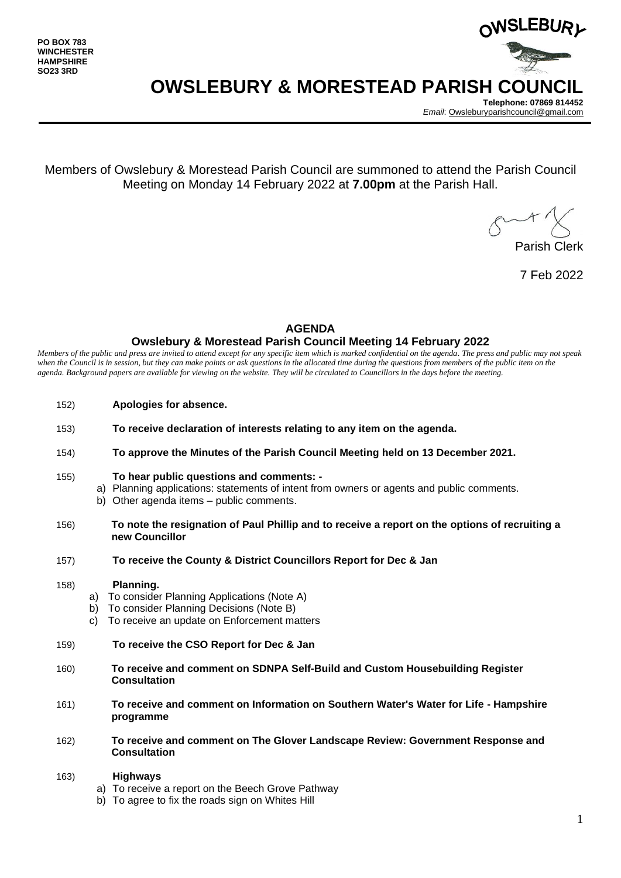

## **OWSLEBURY & MORESTEAD PARISH COUNCIL**

**Telephone: 07869 814452** *Email*[: Owsleburyparishcouncil@gmail.com](mailto:Owsleburyparishcouncil@gmail.com)

Members of Owslebury & Morestead Parish Council are summoned to attend the Parish Council Meeting on Monday 14 February 2022 at **7.00pm** at the Parish Hall.

Parish Clerk

7 Feb 2022

#### **AGENDA**

#### **Owslebury & Morestead Parish Council Meeting 14 February 2022**

*Members of the public and press are invited to attend except for any specific item which is marked confidential on the agenda. The press and public may not speak*  when the Council is in session, but they can make points or ask questions in the allocated time during the questions from members of the public item on the *agenda. Background papers are available for viewing on the website. They will be circulated to Councillors in the days before the meeting.* 

- 152) **Apologies for absence.**
- 153) **To receive declaration of interests relating to any item on the agenda.**
- 154) **To approve the Minutes of the Parish Council Meeting held on 13 December 2021.**
- 155) **To hear public questions and comments:** 
	- a) Planning applications: statements of intent from owners or agents and public comments.
	- b) Other agenda items public comments.
- 156) **To note the resignation of Paul Phillip and to receive a report on the options of recruiting a new Councillor**
- 157) **To receive the County & District Councillors Report for Dec & Jan**

#### 158) **Planning.**

- a) To consider Planning Applications (Note A)
- b) To consider Planning Decisions (Note B)
- c) To receive an update on Enforcement matters
- 159) **To receive the CSO Report for Dec & Jan**
- 160) **To receive and comment on SDNPA Self-Build and Custom Housebuilding Register Consultation**
- 161) **To receive and comment on Information on Southern Water's Water for Life - Hampshire programme**
- 162) **To receive and comment on The Glover Landscape Review: Government Response and Consultation**

#### 163) **Highways**

- a) To receive a report on the Beech Grove Pathway
- b) To agree to fix the roads sign on Whites Hill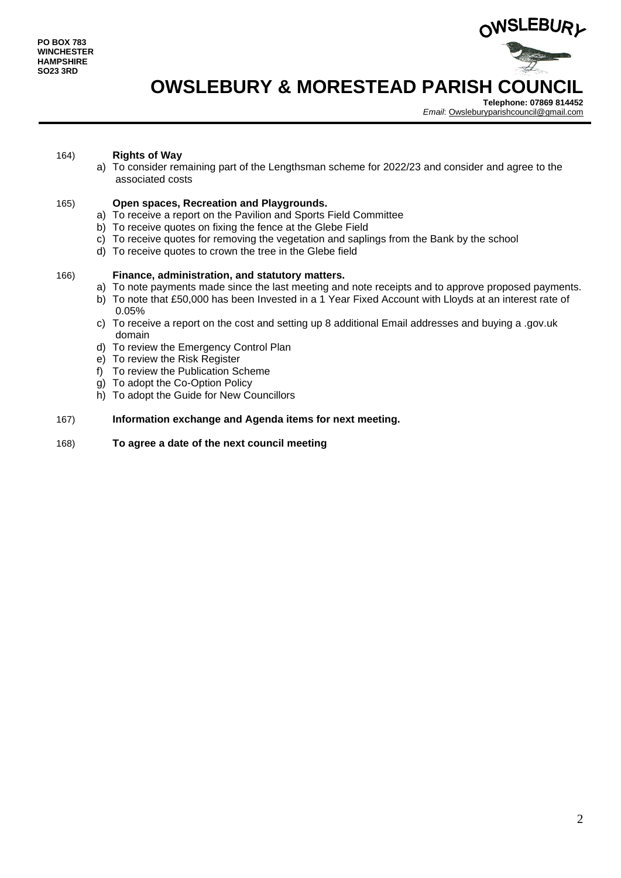

# **OWSLEBURY & MORESTEAD PARISH COUNCIL**

**Telephone: 07869 814452** *Email*[: Owsleburyparishcouncil@gmail.com](mailto:Owsleburyparishcouncil@gmail.com)

#### 164) **Rights of Way**

a) To consider remaining part of the Lengthsman scheme for 2022/23 and consider and agree to the associated costs

#### 165) **Open spaces, Recreation and Playgrounds.**

- a) To receive a report on the Pavilion and Sports Field Committee
- b) To receive quotes on fixing the fence at the Glebe Field
- c) To receive quotes for removing the vegetation and saplings from the Bank by the school
- d) To receive quotes to crown the tree in the Glebe field

#### 166) **Finance, administration, and statutory matters.**

- a) To note payments made since the last meeting and note receipts and to approve proposed payments.
- b) To note that £50,000 has been Invested in a 1 Year Fixed Account with Lloyds at an interest rate of 0.05%
- c) To receive a report on the cost and setting up 8 additional Email addresses and buying a .gov.uk domain
- d) To review the Emergency Control Plan
- e) To review the Risk Register
- f) To review the Publication Scheme
- g) To adopt the Co-Option Policy
- h) To adopt the Guide for New Councillors

#### 167) **Information exchange and Agenda items for next meeting.**

168) **To agree a date of the next council meeting**